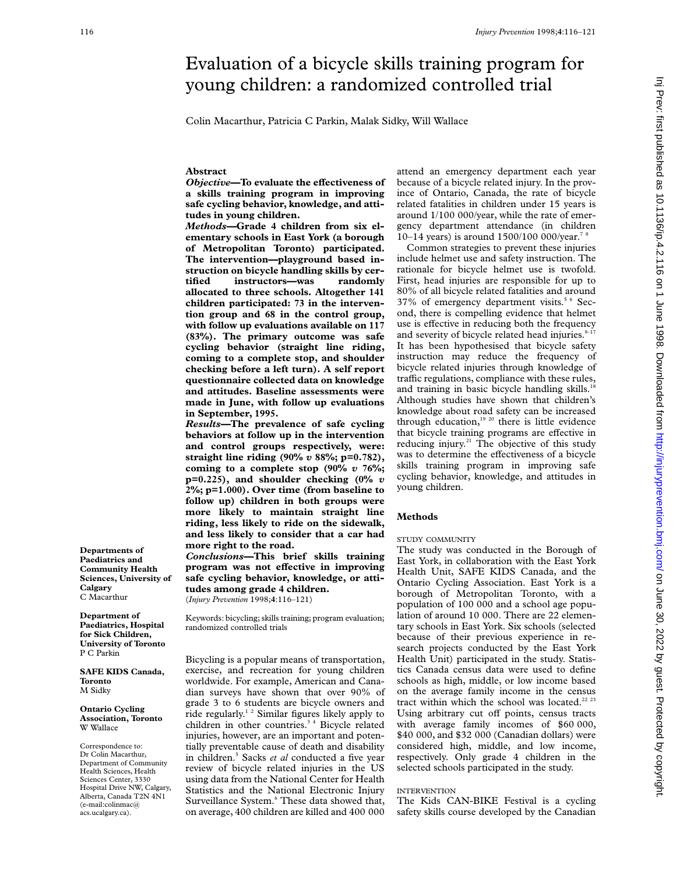# Evaluation of a bicycle skills training program for young children: a randomized controlled trial

Colin Macarthur, Patricia C Parkin, Malak Sidky, Will Wallace

# **Abstract**

*Objective***—To evaluate the effectiveness of a skills training program in improving safe cycling behavior, knowledge, and attitudes in young children.**

*Methods—***Grade 4 children from six elementary schools in East York (a borough of Metropolitan Toronto) participated. The intervention—playground based instruction on bicycle handling skills by certified instructors—was randomly allocated to three schools. Altogether 141 children participated: 73 in the intervention group and 68 in the control group, with follow up evaluations available on 117 (83%). The primary outcome was safe cycling behavior (straight line riding, coming to a complete stop, and shoulder checking before a left turn). A self report questionnaire collected data on knowledge and attitudes. Baseline assessments were made in June, with follow up evaluations in September, 1995.**

*Results—***The prevalence of safe cycling behaviors at follow up in the intervention and control groups respectively, were: straight line riding (90%** *v* **88%; p=0.782), coming to a complete stop (90%** *v* **76%; p=0.225), and shoulder checking (0%** *v* **2%; p=1.000). Over time (from baseline to follow up) children in both groups were more likely to maintain straight line riding, less likely to ride on the sidewalk, and less likely to consider that a car had more right to the road.**

*Conclusions—***This brief skills training** program was not effective in improving **safe cycling behavior, knowledge, or attitudes among grade 4 children.**

(*Injury Prevention* 1998;**4**:116–121)

Keywords: bicycling; skills training; program evaluation; randomized controlled trials

Bicycling is a popular means of transportation, exercise, and recreation for young children worldwide. For example, American and Canadian surveys have shown that over 90% of grade 3 to 6 students are bicycle owners and ride regularly.1 2 Similar figures likely apply to children in other countries.3 4 Bicycle related injuries, however, are an important and potentially preventable cause of death and disability in children.5 Sacks *et al* conducted a five year review of bicycle related injuries in the US using data from the National Center for Health Statistics and the National Electronic Injury Surveillance System.<sup>6</sup> These data showed that, on average, 400 children are killed and 400 000

attend an emergency department each year because of a bicycle related injury. In the province of Ontario, Canada, the rate of bicycle related fatalities in children under 15 years is around 1/100 000/year, while the rate of emergency department attendance (in children 10–14 years) is around 1500/100 000/year.<sup>78</sup>

Common strategies to prevent these injuries include helmet use and safety instruction. The rationale for bicycle helmet use is twofold. First, head injuries are responsible for up to 80% of all bicycle related fatalities and around 37% of emergency department visits.<sup>5 6</sup> Second, there is compelling evidence that helmet use is effective in reducing both the frequency and severity of bicycle related head injuries. $9-17$ It has been hypothesised that bicycle safety instruction may reduce the frequency of bicycle related injuries through knowledge of traffic regulations, compliance with these rules, and training in basic bicycle handling skills.<sup>18</sup> Although studies have shown that children's knowledge about road safety can be increased through education, $1920$  there is little evidence that bicycle training programs are effective in reducing injury.<sup>21</sup> The objective of this study was to determine the effectiveness of a bicycle skills training program in improving safe cycling behavior, knowledge, and attitudes in young children.

# **Methods**

#### STUDY COMMUNITY

The study was conducted in the Borough of East York, in collaboration with the East York Health Unit, SAFE KIDS Canada, and the Ontario Cycling Association. East York is a borough of Metropolitan Toronto, with a population of 100 000 and a school age population of around 10 000. There are 22 elementary schools in East York. Six schools (selected because of their previous experience in research projects conducted by the East York Health Unit) participated in the study. Statistics Canada census data were used to define schools as high, middle, or low income based on the average family income in the census tract within which the school was located.<sup>22 23</sup> Using arbitrary cut off points, census tracts with average family incomes of \$60 000, \$40 000, and \$32 000 (Canadian dollars) were considered high, middle, and low income, respectively. Only grade 4 children in the selected schools participated in the study.

# INTERVENTION

The Kids CAN-BIKE Festival is a cycling safety skills course developed by the Canadian

**Paediatrics and Community Health Sciences, University of Calgary** C Macarthur

**Departments of**

**Department of Paediatrics, Hospital for Sick Children, University of Toronto** P C Parkin

**SAFE KIDS Canada, Toronto** M Sidky

#### **Ontario Cycling Association, Toronto** W Wallace

Correspondence to: Dr Colin Macarthur, Department of Community Health Sciences, Health Sciences Center, 3330 Hospital Drive NW, Calgary, Alberta, Canada T2N 4N1 (e-mail:colinmac@ acs.ucalgary.ca).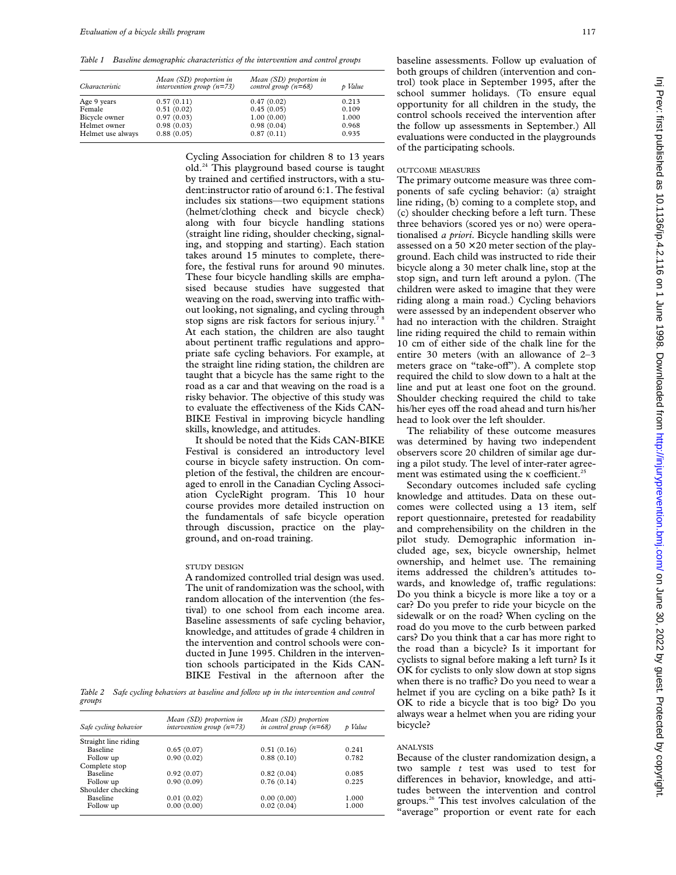*Table 1 Baseline demographic characteristics of the intervention and control groups*

| Characteristic    | Mean (SD) proportion in<br>intervention group $(n=73)$ | Mean (SD) proportion in<br>control group $(n=68)$ | p Value |
|-------------------|--------------------------------------------------------|---------------------------------------------------|---------|
| Age 9 years       | 0.57(0.11)                                             | 0.47(0.02)                                        | 0.213   |
| Female            | 0.51(0.02)                                             | 0.45(0.05)                                        | 0.109   |
| Bicycle owner     | 0.97(0.03)                                             | 1.00(0.00)                                        | 1.000   |
| Helmet owner      | 0.98(0.03)                                             | 0.98(0.04)                                        | 0.968   |
| Helmet use always | 0.88(0.05)                                             | 0.87(0.11)                                        | 0.935   |

Cycling Association for children 8 to 13 years old.24 This playground based course is taught by trained and certified instructors, with a student:instructor ratio of around 6:1. The festival includes six stations—two equipment stations (helmet/clothing check and bicycle check) along with four bicycle handling stations (straight line riding, shoulder checking, signaling, and stopping and starting). Each station takes around 15 minutes to complete, therefore, the festival runs for around 90 minutes. These four bicycle handling skills are emphasised because studies have suggested that weaving on the road, swerving into traffic without looking, not signaling, and cycling through stop signs are risk factors for serious injury.<sup>7</sup> At each station, the children are also taught about pertinent traffic regulations and appropriate safe cycling behaviors. For example, at the straight line riding station, the children are taught that a bicycle has the same right to the road as a car and that weaving on the road is a risky behavior. The objective of this study was to evaluate the effectiveness of the Kids CAN-BIKE Festival in improving bicycle handling skills, knowledge, and attitudes.

It should be noted that the Kids CAN-BIKE Festival is considered an introductory level course in bicycle safety instruction. On completion of the festival, the children are encouraged to enroll in the Canadian Cycling Association CycleRight program. This 10 hour course provides more detailed instruction on the fundamentals of safe bicycle operation through discussion, practice on the playground, and on-road training.

#### STUDY DESIGN

A randomized controlled trial design was used. The unit of randomization was the school, with random allocation of the intervention (the festival) to one school from each income area. Baseline assessments of safe cycling behavior, knowledge, and attitudes of grade 4 children in the intervention and control schools were conducted in June 1995. Children in the intervention schools participated in the Kids CAN-BIKE Festival in the afternoon after the

*Table 2 Safe cycling behaviors at baseline and follow up in the intervention and control groups*

| Safe cycling behavior | Mean (SD) proportion in<br>intervention group $(n=73)$ | Mean (SD) proportion<br>in control group $(n=68)$ | p Value |
|-----------------------|--------------------------------------------------------|---------------------------------------------------|---------|
| Straight line riding  |                                                        |                                                   |         |
| <b>Baseline</b>       | 0.65(0.07)                                             | 0.51(0.16)                                        | 0.241   |
| Follow up             | 0.90(0.02)                                             | 0.88(0.10)                                        | 0.782   |
| Complete stop         |                                                        |                                                   |         |
| <b>Baseline</b>       | 0.92(0.07)                                             | 0.82(0.04)                                        | 0.085   |
| Follow up             | 0.90(0.09)                                             | 0.76(0.14)                                        | 0.225   |
| Shoulder checking     |                                                        |                                                   |         |
| <b>Baseline</b>       | 0.01(0.02)                                             | 0.00(0.00)                                        | 1.000   |
| Follow up             | 0.00(0.00)                                             | 0.02(0.04)                                        | 1.000   |

baseline assessments. Follow up evaluation of both groups of children (intervention and control) took place in September 1995, after the school summer holidays. (To ensure equal opportunity for all children in the study, the control schools received the intervention after the follow up assessments in September.) All evaluations were conducted in the playgrounds of the participating schools.

# OUTCOME MEASURES

The primary outcome measure was three components of safe cycling behavior: (a) straight line riding, (b) coming to a complete stop, and (c) shoulder checking before a left turn. These three behaviors (scored yes or no) were operationalised *a priori*. Bicycle handling skills were assessed on a  $50 \times 20$  meter section of the playground. Each child was instructed to ride their bicycle along a 30 meter chalk line, stop at the stop sign, and turn left around a pylon. (The children were asked to imagine that they were riding along a main road.) Cycling behaviors were assessed by an independent observer who had no interaction with the children. Straight line riding required the child to remain within 10 cm of either side of the chalk line for the entire 30 meters (with an allowance of 2–3 meters grace on "take-off"). A complete stop required the child to slow down to a halt at the line and put at least one foot on the ground. Shoulder checking required the child to take his/her eyes off the road ahead and turn his/her head to look over the left shoulder.

The reliability of these outcome measures was determined by having two independent observers score 20 children of similar age during a pilot study. The level of inter-rater agreement was estimated using the  $\kappa$  coefficient.<sup>25</sup>

Secondary outcomes included safe cycling knowledge and attitudes. Data on these outcomes were collected using a 13 item, self report questionnaire, pretested for readability and comprehensibility on the children in the pilot study. Demographic information included age, sex, bicycle ownership, helmet ownership, and helmet use. The remaining items addressed the children's attitudes towards, and knowledge of, traffic regulations: Do you think a bicycle is more like a toy or a car? Do you prefer to ride your bicycle on the sidewalk or on the road? When cycling on the road do you move to the curb between parked cars? Do you think that a car has more right to the road than a bicycle? Is it important for cyclists to signal before making a left turn? Is it OK for cyclists to only slow down at stop signs when there is no traffic? Do you need to wear a helmet if you are cycling on a bike path? Is it OK to ride a bicycle that is too big? Do you always wear a helmet when you are riding your bicycle?

# ANALYSIS

Because of the cluster randomization design, a two sample *t* test was used to test for differences in behavior, knowledge, and attitudes between the intervention and control groups.26 This test involves calculation of the "average" proportion or event rate for each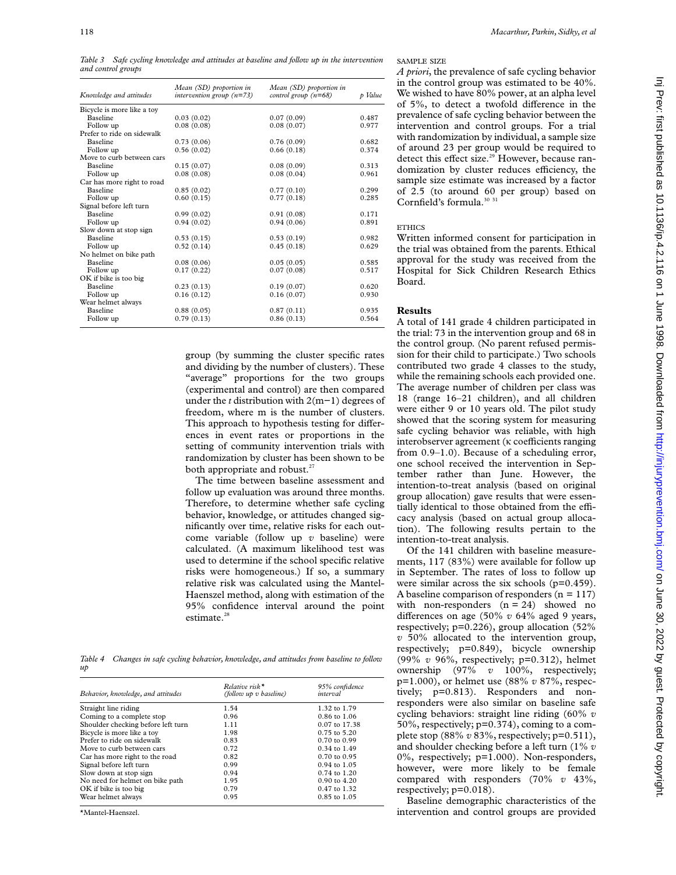*Table 3 Safe cycling knowledge and attitudes at baseline and follow up in the intervention and control groups*

| Knowledge and attitudes    | Mean (SD) proportion in<br>intervention group $(n=73)$ | Mean (SD) proportion in<br>control group $(n=68)$ | p Value |
|----------------------------|--------------------------------------------------------|---------------------------------------------------|---------|
| Bicycle is more like a toy |                                                        |                                                   |         |
| <b>Baseline</b>            | 0.03(0.02)                                             | 0.07(0.09)                                        | 0.487   |
| Follow up                  | 0.08(0.08)                                             | 0.08(0.07)                                        | 0.977   |
| Prefer to ride on sidewalk |                                                        |                                                   |         |
| <b>Baseline</b>            | 0.73(0.06)                                             | 0.76(0.09)                                        | 0.682   |
| Follow up                  | 0.56(0.02)                                             | 0.66(0.18)                                        | 0.374   |
| Move to curb between cars  |                                                        |                                                   |         |
| <b>Baseline</b>            | 0.15(0.07)                                             | 0.08(0.09)                                        | 0.313   |
| Follow up                  | 0.08(0.08)                                             | 0.08(0.04)                                        | 0.961   |
| Car has more right to road |                                                        |                                                   |         |
| <b>Baseline</b>            | 0.85(0.02)                                             | 0.77(0.10)                                        | 0.299   |
| Follow up                  | 0.60(0.15)                                             | 0.77(0.18)                                        | 0.285   |
| Signal before left turn    |                                                        |                                                   |         |
| <b>Baseline</b>            | 0.99(0.02)                                             | 0.91(0.08)                                        | 0.171   |
| Follow up                  | 0.94(0.02)                                             | 0.94(0.06)                                        | 0.891   |
| Slow down at stop sign     |                                                        |                                                   |         |
| <b>Baseline</b>            | 0.53(0.15)                                             | 0.53(0.19)                                        | 0.982   |
| Follow up                  | 0.52(0.14)                                             | 0.45(0.18)                                        | 0.629   |
| No helmet on bike path     |                                                        |                                                   |         |
| <b>Baseline</b>            | 0.08(0.06)                                             | 0.05(0.05)                                        | 0.585   |
| Follow up                  | 0.17(0.22)                                             | 0.07(0.08)                                        | 0.517   |
| OK if bike is too big      |                                                        |                                                   |         |
| <b>Baseline</b>            | 0.23(0.13)                                             | 0.19(0.07)                                        | 0.620   |
| Follow up                  | 0.16(0.12)                                             | 0.16(0.07)                                        | 0.930   |
| Wear helmet always         |                                                        |                                                   |         |
| <b>Baseline</b>            | 0.88(0.05)                                             | 0.87(0.11)                                        | 0.935   |
| Follow up                  | 0.79(0.13)                                             | 0.86(0.13)                                        | 0.564   |

group (by summing the cluster specific rates and dividing by the number of clusters). These "average" proportions for the two groups (experimental and control) are then compared under the *t* distribution with 2(m−1) degrees of freedom, where m is the number of clusters. This approach to hypothesis testing for differences in event rates or proportions in the setting of community intervention trials with randomization by cluster has been shown to be both appropriate and robust. $27$ 

The time between baseline assessment and follow up evaluation was around three months. Therefore, to determine whether safe cycling behavior, knowledge, or attitudes changed significantly over time, relative risks for each outcome variable (follow up *v* baseline) were calculated. (A maximum likelihood test was used to determine if the school specific relative risks were homogeneous.) If so, a summary relative risk was calculated using the Mantel-Haenszel method, along with estimation of the 95% confidence interval around the point estimate. $28$ 

*Table 4 Changes in safe cycling behavior, knowledge, and attitudes from baseline to follow up*

| Behavior, knowledge, and attitudes | $Relative risk*$<br>(follow up v baseline) | 95% confidence<br>interval |  |
|------------------------------------|--------------------------------------------|----------------------------|--|
| Straight line riding               | 1.54                                       | 1.32 to 1.79               |  |
| Coming to a complete stop          | 0.96                                       | $0.86 \text{ to } 1.06$    |  |
| Shoulder checking before left turn | 1.11                                       | $0.07$ to 17.38            |  |
| Bicycle is more like a toy         | 1.98                                       | $0.75$ to 5.20             |  |
| Prefer to ride on sidewalk         | 0.83                                       | $0.70$ to $0.99$           |  |
| Move to curb between cars          | 0.72                                       | $0.34$ to $1.49$           |  |
| Car has more right to the road     | 0.82                                       | $0.70$ to $0.95$           |  |
| Signal before left turn            | 0.99                                       | $0.94$ to $1.05$           |  |
| Slow down at stop sign             | 0.94                                       | $0.74$ to $1.20$           |  |
| No need for helmet on bike path    | 1.95                                       | $0.90 \text{ to } 4.20$    |  |
| OK if bike is too big              | 0.79                                       | $0.47$ to $1.32$           |  |
| Wear helmet always                 | 0.95                                       | $0.85$ to $1.05$           |  |

\*Mantel-Haenszel.

#### SAMPLE SIZE

*A priori*, the prevalence of safe cycling behavior in the control group was estimated to be 40%. We wished to have 80% power, at an alpha level of 5%, to detect a twofold difference in the prevalence of safe cycling behavior between the intervention and control groups. For a trial with randomization by individual, a sample size of around 23 per group would be required to detect this effect size.<sup>29</sup> However, because randomization by cluster reduces efficiency, the sample size estimate was increased by a factor of 2.5 (to around 60 per group) based on Cornfield's formula.<sup>30</sup> <sup>31</sup>

#### **ETHICS**

Written informed consent for participation in the trial was obtained from the parents. Ethical approval for the study was received from the Hospital for Sick Children Research Ethics Board.

# **Results**

A total of 141 grade 4 children participated in the trial: 73 in the intervention group and 68 in the control group. (No parent refused permission for their child to participate.) Two schools contributed two grade 4 classes to the study, while the remaining schools each provided one. The average number of children per class was 18 (range 16–21 children), and all children were either 9 or 10 years old. The pilot study showed that the scoring system for measuring safe cycling behavior was reliable, with high interobserver agreement ( $\kappa$  coefficients ranging from 0.9–1.0). Because of a scheduling error, one school received the intervention in September rather than June. However, the intention-to-treat analysis (based on original group allocation) gave results that were essentially identical to those obtained from the efficacy analysis (based on actual group allocation). The following results pertain to the intention-to-treat analysis.

Of the 141 children with baseline measurements, 117 (83%) were available for follow up in September. The rates of loss to follow up were similar across the six schools (p=0.459). A baseline comparison of responders  $(n = 117)$ with non-responders  $(n = 24)$  showed no differences on age (50%  $v$  64% aged 9 years, respectively; p=0.226), group allocation (52% *v* 50% allocated to the intervention group, respectively; p=0.849), bicycle ownership (99% *v* 96%, respectively; p=0.312), helmet ownership (97% *v* 100%, respectively; p=1.000), or helmet use (88% *v* 87%, respectively; p=0.813). Responders and nonresponders were also similar on baseline safe cycling behaviors: straight line riding (60% *v* 50%, respectively; p=0.374), coming to a complete stop (88% *v* 83%, respectively; p=0.511), and shoulder checking before a left turn (1% *v* 0%, respectively; p=1.000). Non-responders, however, were more likely to be female compared with responders (70% *v* 43%, respectively; p=0.018).

Baseline demographic characteristics of the intervention and control groups are provided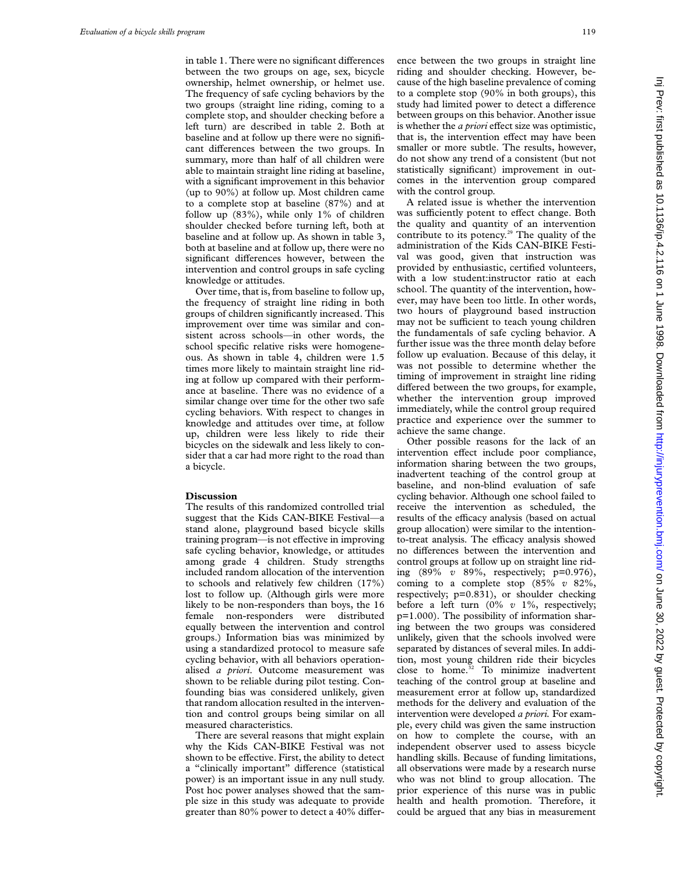in table 1. There were no significant differences between the two groups on age, sex, bicycle ownership, helmet ownership, or helmet use. The frequency of safe cycling behaviors by the two groups (straight line riding, coming to a complete stop, and shoulder checking before a left turn) are described in table 2. Both at baseline and at follow up there were no significant differences between the two groups. In summary, more than half of all children were able to maintain straight line riding at baseline, with a significant improvement in this behavior (up to 90%) at follow up. Most children came to a complete stop at baseline (87%) and at follow up  $(83\%)$ , while only 1% of children shoulder checked before turning left, both at baseline and at follow up. As shown in table 3, both at baseline and at follow up, there were no significant differences however, between the intervention and control groups in safe cycling knowledge or attitudes.

Over time, that is, from baseline to follow up, the frequency of straight line riding in both groups of children significantly increased. This improvement over time was similar and consistent across schools—in other words, the school specific relative risks were homogeneous. As shown in table 4, children were 1.5 times more likely to maintain straight line riding at follow up compared with their performance at baseline. There was no evidence of a similar change over time for the other two safe cycling behaviors. With respect to changes in knowledge and attitudes over time, at follow up, children were less likely to ride their bicycles on the sidewalk and less likely to consider that a car had more right to the road than a bicycle.

#### **Discussion**

The results of this randomized controlled trial suggest that the Kids CAN-BIKE Festival—a stand alone, playground based bicycle skills training program—is not effective in improving safe cycling behavior, knowledge, or attitudes among grade 4 children. Study strengths included random allocation of the intervention to schools and relatively few children (17%) lost to follow up. (Although girls were more likely to be non-responders than boys, the 16 female non-responders were distributed equally between the intervention and control groups.) Information bias was minimized by using a standardized protocol to measure safe cycling behavior, with all behaviors operationalised *a priori*. Outcome measurement was shown to be reliable during pilot testing. Confounding bias was considered unlikely, given that random allocation resulted in the intervention and control groups being similar on all measured characteristics.

There are several reasons that might explain why the Kids CAN-BIKE Festival was not shown to be effective. First, the ability to detect a "clinically important" difference (statistical power) is an important issue in any null study. Post hoc power analyses showed that the sample size in this study was adequate to provide greater than  $80\%$  power to detect a  $40\%$  difference between the two groups in straight line riding and shoulder checking. However, because of the high baseline prevalence of coming to a complete stop (90% in both groups), this study had limited power to detect a difference between groups on this behavior. Another issue is whether the *a priori* effect size was optimistic, that is, the intervention effect may have been smaller or more subtle. The results, however, do not show any trend of a consistent (but not statistically significant) improvement in outcomes in the intervention group compared with the control group.

A related issue is whether the intervention was sufficiently potent to effect change. Both the quality and quantity of an intervention contribute to its potency.<sup>29</sup> The quality of the administration of the Kids CAN-BIKE Festival was good, given that instruction was provided by enthusiastic, certified volunteers, with a low student:instructor ratio at each school. The quantity of the intervention, however, may have been too little. In other words, two hours of playground based instruction may not be sufficient to teach young children the fundamentals of safe cycling behavior. A further issue was the three month delay before follow up evaluation. Because of this delay, it was not possible to determine whether the timing of improvement in straight line riding differed between the two groups, for example, whether the intervention group improved immediately, while the control group required practice and experience over the summer to achieve the same change.

Other possible reasons for the lack of an intervention effect include poor compliance, information sharing between the two groups, inadvertent teaching of the control group at baseline, and non-blind evaluation of safe cycling behavior. Although one school failed to receive the intervention as scheduled, the results of the efficacy analysis (based on actual group allocation) were similar to the intentionto-treat analysis. The efficacy analysis showed no differences between the intervention and control groups at follow up on straight line riding (89% *v* 89%, respectively; p=0.976), coming to a complete stop (85% *v* 82%, respectively; p=0.831), or shoulder checking before a left turn (0% *v* 1%, respectively; p=1.000). The possibility of information sharing between the two groups was considered unlikely, given that the schools involved were separated by distances of several miles. In addition, most young children ride their bicycles close to home.<sup>32</sup> To minimize inadvertent teaching of the control group at baseline and measurement error at follow up, standardized methods for the delivery and evaluation of the intervention were developed *a priori.* For example, every child was given the same instruction on how to complete the course, with an independent observer used to assess bicycle handling skills. Because of funding limitations, all observations were made by a research nurse who was not blind to group allocation. The prior experience of this nurse was in public health and health promotion. Therefore, it could be argued that any bias in measurement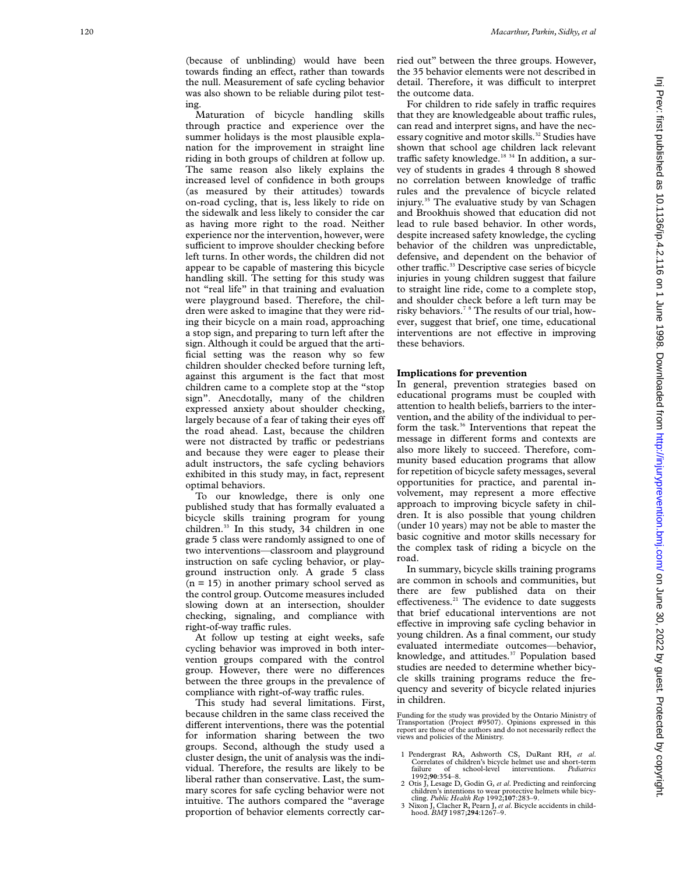Maturation of bicycle handling skills through practice and experience over the summer holidays is the most plausible explanation for the improvement in straight line riding in both groups of children at follow up. The same reason also likely explains the increased level of confidence in both groups (as measured by their attitudes) towards on-road cycling, that is, less likely to ride on the sidewalk and less likely to consider the car as having more right to the road. Neither experience nor the intervention, however, were sufficient to improve shoulder checking before left turns. In other words, the children did not appear to be capable of mastering this bicycle handling skill. The setting for this study was not "real life" in that training and evaluation were playground based. Therefore, the children were asked to imagine that they were riding their bicycle on a main road, approaching a stop sign, and preparing to turn left after the sign. Although it could be argued that the artificial setting was the reason why so few children shoulder checked before turning left, against this argument is the fact that most children came to a complete stop at the "stop sign". Anecdotally, many of the children expressed anxiety about shoulder checking, largely because of a fear of taking their eyes off the road ahead. Last, because the children were not distracted by traffic or pedestrians and because they were eager to please their adult instructors, the safe cycling behaviors exhibited in this study may, in fact, represent optimal behaviors.

To our knowledge, there is only one published study that has formally evaluated a bicycle skills training program for young children.<sup>33</sup> In this study, 34 children in one grade 5 class were randomly assigned to one of two interventions—classroom and playground instruction on safe cycling behavior, or playground instruction only. A grade 5 class  $(n = 15)$  in another primary school served as the control group. Outcome measures included slowing down at an intersection, shoulder checking, signaling, and compliance with right-of-way traffic rules.

At follow up testing at eight weeks, safe cycling behavior was improved in both intervention groups compared with the control group. However, there were no differences between the three groups in the prevalence of compliance with right-of-way traffic rules.

This study had several limitations. First, because children in the same class received the different interventions, there was the potential for information sharing between the two groups. Second, although the study used a cluster design, the unit of analysis was the individual. Therefore, the results are likely to be liberal rather than conservative. Last, the summary scores for safe cycling behavior were not intuitive. The authors compared the "average proportion of behavior elements correctly carried out" between the three groups. However, the 35 behavior elements were not described in detail. Therefore, it was difficult to interpret the outcome data.

For children to ride safely in traffic requires that they are knowledgeable about traffic rules, can read and interpret signs, and have the necessary cognitive and motor skills.<sup>32</sup> Studies have shown that school age children lack relevant traffic safety knowledge.<sup>18 34</sup> In addition, a survey of students in grades 4 through 8 showed no correlation between knowledge of traffic rules and the prevalence of bicycle related injury.35 The evaluative study by van Schagen and Brookhuis showed that education did not lead to rule based behavior. In other words, despite increased safety knowledge, the cycling behavior of the children was unpredictable, defensive, and dependent on the behavior of other traffic.<sup>33</sup> Descriptive case series of bicycle injuries in young children suggest that failure to straight line ride, come to a complete stop, and shoulder check before a left turn may be risky behaviors.7 8 The results of our trial, however, suggest that brief, one time, educational interventions are not effective in improving these behaviors.

# **Implications for prevention**

In general, prevention strategies based on educational programs must be coupled with attention to health beliefs, barriers to the intervention, and the ability of the individual to perform the task.<sup>36</sup> Interventions that repeat the message in different forms and contexts are also more likely to succeed. Therefore, community based education programs that allow for repetition of bicycle safety messages, several opportunities for practice, and parental involvement, may represent a more effective approach to improving bicycle safety in children. It is also possible that young children (under 10 years) may not be able to master the basic cognitive and motor skills necessary for the complex task of riding a bicycle on the road.

In summary, bicycle skills training programs are common in schools and communities, but there are few published data on their effectiveness.<sup>21</sup> The evidence to date suggests that brief educational interventions are not effective in improving safe cycling behavior in young children. As a final comment, our study evaluated intermediate outcomes—behavior, knowledge, and attitudes.<sup>37</sup> Population based studies are needed to determine whether bicycle skills training programs reduce the frequency and severity of bicycle related injuries in children.

Funding for the study was provided by the Ontario Ministry of Transportation (Project #9507). Opinions expressed in this report are those of the authors and do not necessarily reflect the views and policies of the Ministry.

- 1 Pendergrast RA, Ashworth CS, DuRant RH, *et al* . Correlates of children's bicycle helmet use and short-term failure of school-level interventions. *Pediatrics* 1992;**90**:354–8.
- 2 Otis J, Lesage D, Godin G, *et al*. Predicting and reinforcing children's intentions to wear protective helmets while bicy-cling. *Public Health Rep* 1992;**107**:283–9.
- 3 Nixon J, Clacher R, Pearn J, *et al*. Bicycle accidents in child-hood. *BMJ* 1987;**294**:1267–9.